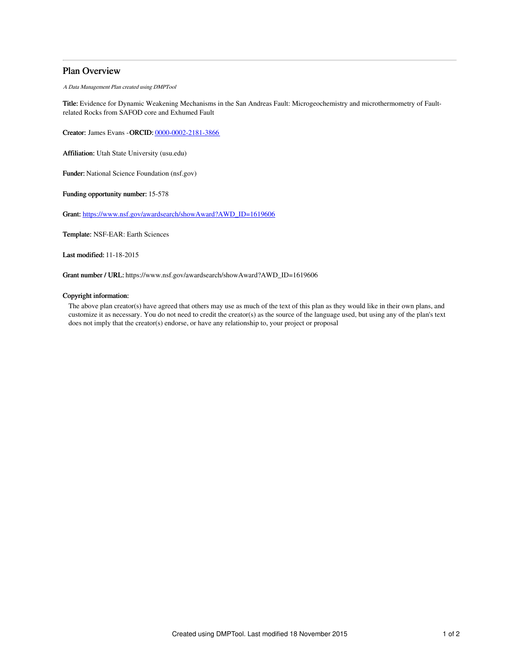# Plan Overview

A Data Management Plan created using DMPTool

Title: Evidence for Dynamic Weakening Mechanisms in the San Andreas Fault: Microgeochemistry and microthermometry of Faultrelated Rocks from SAFOD core and Exhumed Fault

Creator: James Evans -ORCID: [0000-0002-2181-3866](https://orcid.org/0000-0002-2181-3866)

Affiliation: Utah State University (usu.edu)

Funder: National Science Foundation (nsf.gov)

Funding opportunity number: 15-578

Grant: [https://www.nsf.gov/awardsearch/showAward?AWD\\_ID=1619606](https://www.nsf.gov/awardsearch/showAward?AWD_ID=1619606)

Template: NSF-EAR: Earth Sciences

Last modified: 11-18-2015

Grant number / URL: https://www.nsf.gov/awardsearch/showAward?AWD\_ID=1619606

# Copyright information:

The above plan creator(s) have agreed that others may use as much of the text of this plan as they would like in their own plans, and customize it as necessary. You do not need to credit the creator(s) as the source of the language used, but using any of the plan's text does not imply that the creator(s) endorse, or have any relationship to, your project or proposal